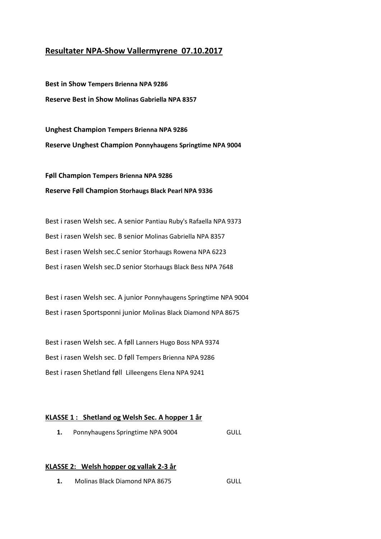## **Resultater NPA-Show Vallermyrene 07.10.2017**

**Best in Show Tempers Brienna NPA 9286 Reserve Best in Show Molinas Gabriella NPA 8357** 

**Unghest Champion Tempers Brienna NPA 9286 Reserve Unghest Champion Ponnyhaugens Springtime NPA 9004**

**Føll Champion Tempers Brienna NPA 9286 Reserve Føll Champion Storhaugs Black Pearl NPA 9336** 

Best i rasen Welsh sec. A senior Pantiau Ruby's Rafaella NPA 9373 Best i rasen Welsh sec. B senior Molinas Gabriella NPA 8357 Best i rasen Welsh sec.C senior Storhaugs Rowena NPA 6223 Best i rasen Welsh sec.D senior Storhaugs Black Bess NPA 7648

Best i rasen Welsh sec. A junior Ponnyhaugens Springtime NPA 9004 Best i rasen Sportsponni junior Molinas Black Diamond NPA 8675

Best i rasen Welsh sec. A føll Lanners Hugo Boss NPA 9374 Best i rasen Welsh sec. D føll Tempers Brienna NPA 9286 Best i rasen Shetland føll Lilleengens Elena NPA 9241

#### **KLASSE 1 : Shetland og Welsh Sec. A hopper 1 år**

**1.** Ponnyhaugens Springtime NPA 9004 GULL

### **KLASSE 2: Welsh hopper og vallak 2-3 år**

**1.** Molinas Black Diamond NPA 8675 GULL